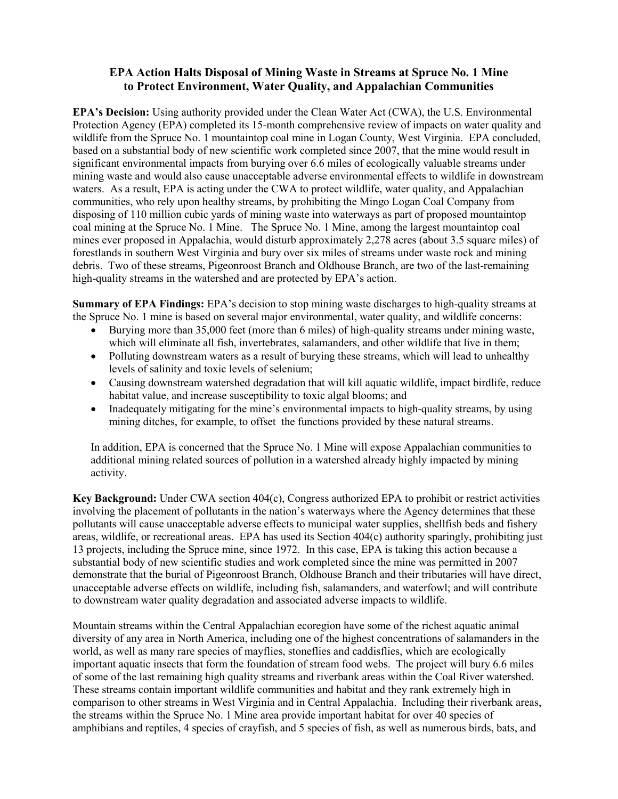## **EPA Action Halts Disposal of Mining Waste in Streams at Spruce No. 1 Mine to Protect Environment, Water Quality, and Appalachian Communities**

**EPA's Decision:** Using authority provided under the Clean Water Act (CWA), the U.S. Environmental Protection Agency (EPA) completed its 15-month comprehensive review of impacts on water quality and wildlife from the Spruce No. 1 mountaintop coal mine in Logan County, West Virginia. EPA concluded, based on a substantial body of new scientific work completed since 2007, that the mine would result in significant environmental impacts from burying over 6.6 miles of ecologically valuable streams under mining waste and would also cause unacceptable adverse environmental effects to wildlife in downstream waters. As a result, EPA is acting under the CWA to protect wildlife, water quality, and Appalachian communities, who rely upon healthy streams, by prohibiting the Mingo Logan Coal Company from disposing of 110 million cubic yards of mining waste into waterways as part of proposed mountaintop coal mining at the Spruce No. 1 Mine. The Spruce No. 1 Mine, among the largest mountaintop coal mines ever proposed in Appalachia, would disturb approximately 2,278 acres (about 3.5 square miles) of forestlands in southern West Virginia and bury over six miles of streams under waste rock and mining debris. Two of these streams, Pigeonroost Branch and Oldhouse Branch, are two of the last-remaining high-quality streams in the watershed and are protected by EPA's action.

**Summary of EPA Findings:** EPA's decision to stop mining waste discharges to high-quality streams at the Spruce No. 1 mine is based on several major environmental, water quality, and wildlife concerns:

- Burying more than 35,000 feet (more than 6 miles) of high-quality streams under mining waste, which will eliminate all fish, invertebrates, salamanders, and other wildlife that live in them;
- Polluting downstream waters as a result of burying these streams, which will lead to unhealthy levels of salinity and toxic levels of selenium;
- Causing downstream watershed degradation that will kill aquatic wildlife, impact birdlife, reduce habitat value, and increase susceptibility to toxic algal blooms; and
- Inadequately mitigating for the mine's environmental impacts to high-quality streams, by using mining ditches, for example, to offset the functions provided by these natural streams.

In addition, EPA is concerned that the Spruce No. 1 Mine will expose Appalachian communities to additional mining related sources of pollution in a watershed already highly impacted by mining activity.

**Key Background:** Under CWA section 404(c), Congress authorized EPA to prohibit or restrict activities involving the placement of pollutants in the nation's waterways where the Agency determines that these pollutants will cause unacceptable adverse effects to municipal water supplies, shellfish beds and fishery areas, wildlife, or recreational areas. EPA has used its Section 404(c) authority sparingly, prohibiting just 13 projects, including the Spruce mine, since 1972. In this case, EPA is taking this action because a substantial body of new scientific studies and work completed since the mine was permitted in 2007 demonstrate that the burial of Pigeonroost Branch, Oldhouse Branch and their tributaries will have direct, unacceptable adverse effects on wildlife, including fish, salamanders, and waterfowl; and will contribute to downstream water quality degradation and associated adverse impacts to wildlife.

Mountain streams within the Central Appalachian ecoregion have some of the richest aquatic animal diversity of any area in North America, including one of the highest concentrations of salamanders in the world, as well as many rare species of mayflies, stoneflies and caddisflies, which are ecologically important aquatic insects that form the foundation of stream food webs. The project will bury 6.6 miles of some of the last remaining high quality streams and riverbank areas within the Coal River watershed. These streams contain important wildlife communities and habitat and they rank extremely high in comparison to other streams in West Virginia and in Central Appalachia. Including their riverbank areas, the streams within the Spruce No. 1 Mine area provide important habitat for over 40 species of amphibians and reptiles, 4 species of crayfish, and 5 species of fish, as well as numerous birds, bats, and